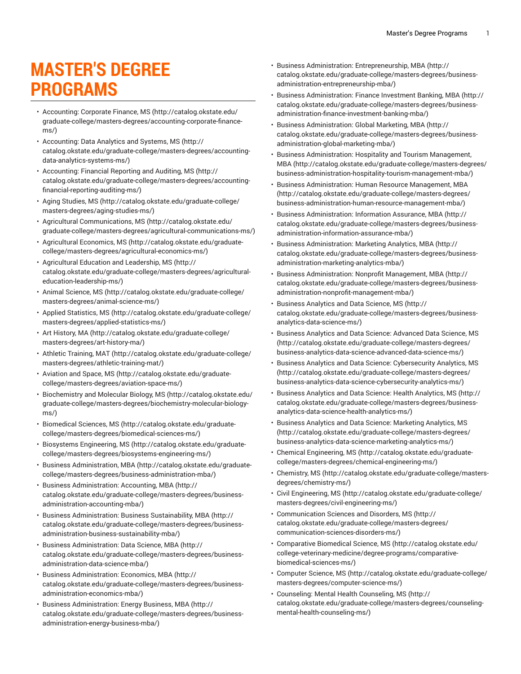## **MASTER'S DEGREE PROGRAMS**

- [Accounting: Corporate Finance, MS \(http://catalog.okstate.edu/](http://catalog.okstate.edu/graduate-college/masters-degrees/accounting-corporate-finance-ms/) [graduate-college/masters-degrees/accounting-corporate-finance](http://catalog.okstate.edu/graduate-college/masters-degrees/accounting-corporate-finance-ms/)[ms/](http://catalog.okstate.edu/graduate-college/masters-degrees/accounting-corporate-finance-ms/))
- [Accounting: Data Analytics and Systems, MS \(http://](http://catalog.okstate.edu/graduate-college/masters-degrees/accounting-data-analytics-systems-ms/) [catalog.okstate.edu/graduate-college/masters-degrees/accounting](http://catalog.okstate.edu/graduate-college/masters-degrees/accounting-data-analytics-systems-ms/)[data-analytics-systems-ms/](http://catalog.okstate.edu/graduate-college/masters-degrees/accounting-data-analytics-systems-ms/))
- [Accounting:](http://catalog.okstate.edu/graduate-college/masters-degrees/accounting-financial-reporting-auditing-ms/) Financial Reporting and Auditing, MS ([http://](http://catalog.okstate.edu/graduate-college/masters-degrees/accounting-financial-reporting-auditing-ms/) [catalog.okstate.edu/graduate-college/masters-degrees/accounting](http://catalog.okstate.edu/graduate-college/masters-degrees/accounting-financial-reporting-auditing-ms/)[financial-reporting-auditing-ms/\)](http://catalog.okstate.edu/graduate-college/masters-degrees/accounting-financial-reporting-auditing-ms/)
- [Aging Studies, MS \(http://catalog.okstate.edu/graduate-college/](http://catalog.okstate.edu/graduate-college/masters-degrees/aging-studies-ms/) [masters-degrees/aging-studies-ms/\)](http://catalog.okstate.edu/graduate-college/masters-degrees/aging-studies-ms/)
- [Agricultural Communications, MS \(http://catalog.okstate.edu/](http://catalog.okstate.edu/graduate-college/masters-degrees/agricultural-communications-ms/) [graduate-college/masters-degrees/agricultural-communications-ms/](http://catalog.okstate.edu/graduate-college/masters-degrees/agricultural-communications-ms/))
- [Agricultural](http://catalog.okstate.edu/graduate-college/masters-degrees/agricultural-economics-ms/) Economics, MS ([http://catalog.okstate.edu/graduate](http://catalog.okstate.edu/graduate-college/masters-degrees/agricultural-economics-ms/)[college/masters-degrees/agricultural-economics-ms/\)](http://catalog.okstate.edu/graduate-college/masters-degrees/agricultural-economics-ms/)
- [Agricultural](http://catalog.okstate.edu/graduate-college/masters-degrees/agricultural-education-leadership-ms/) Education and Leadership, MS [\(http://](http://catalog.okstate.edu/graduate-college/masters-degrees/agricultural-education-leadership-ms/) [catalog.okstate.edu/graduate-college/masters-degrees/agricultural](http://catalog.okstate.edu/graduate-college/masters-degrees/agricultural-education-leadership-ms/)[education-leadership-ms/](http://catalog.okstate.edu/graduate-college/masters-degrees/agricultural-education-leadership-ms/))
- [Animal Science, MS](http://catalog.okstate.edu/graduate-college/masters-degrees/animal-science-ms/) ([http://catalog.okstate.edu/graduate-college/](http://catalog.okstate.edu/graduate-college/masters-degrees/animal-science-ms/) [masters-degrees/animal-science-ms/](http://catalog.okstate.edu/graduate-college/masters-degrees/animal-science-ms/))
- [Applied Statistics, MS \(http://catalog.okstate.edu/graduate-college/](http://catalog.okstate.edu/graduate-college/masters-degrees/applied-statistics-ms/) [masters-degrees/applied-statistics-ms/](http://catalog.okstate.edu/graduate-college/masters-degrees/applied-statistics-ms/))
- Art [History,](http://catalog.okstate.edu/graduate-college/masters-degrees/art-history-ma/) MA ([http://catalog.okstate.edu/graduate-college/](http://catalog.okstate.edu/graduate-college/masters-degrees/art-history-ma/) [masters-degrees/art-history-ma/](http://catalog.okstate.edu/graduate-college/masters-degrees/art-history-ma/))
- Athletic [Training,](http://catalog.okstate.edu/graduate-college/masters-degrees/athletic-training-mat/) MAT ([http://catalog.okstate.edu/graduate-college/](http://catalog.okstate.edu/graduate-college/masters-degrees/athletic-training-mat/) [masters-degrees/athletic-training-mat/\)](http://catalog.okstate.edu/graduate-college/masters-degrees/athletic-training-mat/)
- [Aviation and Space, MS \(http://catalog.okstate.edu/graduate](http://catalog.okstate.edu/graduate-college/masters-degrees/aviation-space-ms/)[college/masters-degrees/aviation-space-ms/\)](http://catalog.okstate.edu/graduate-college/masters-degrees/aviation-space-ms/)
- [Biochemistry](http://catalog.okstate.edu/graduate-college/masters-degrees/biochemistry-molecular-biology-ms/) and Molecular Biology, MS ([http://catalog.okstate.edu/](http://catalog.okstate.edu/graduate-college/masters-degrees/biochemistry-molecular-biology-ms/) [graduate-college/masters-degrees/biochemistry-molecular-biology](http://catalog.okstate.edu/graduate-college/masters-degrees/biochemistry-molecular-biology-ms/)[ms/](http://catalog.okstate.edu/graduate-college/masters-degrees/biochemistry-molecular-biology-ms/))
- [Biomedical Sciences, MS](http://catalog.okstate.edu/graduate-college/masters-degrees/biomedical-sciences-ms/) ([http://catalog.okstate.edu/graduate](http://catalog.okstate.edu/graduate-college/masters-degrees/biomedical-sciences-ms/)[college/masters-degrees/biomedical-sciences-ms/\)](http://catalog.okstate.edu/graduate-college/masters-degrees/biomedical-sciences-ms/)
- [Biosystems Engineering, MS](http://catalog.okstate.edu/graduate-college/masters-degrees/biosystems-engineering-ms/) ([http://catalog.okstate.edu/graduate](http://catalog.okstate.edu/graduate-college/masters-degrees/biosystems-engineering-ms/)[college/masters-degrees/biosystems-engineering-ms/](http://catalog.okstate.edu/graduate-college/masters-degrees/biosystems-engineering-ms/))
- [Business Administration, MBA](http://catalog.okstate.edu/graduate-college/masters-degrees/business-administration-mba/) ([http://catalog.okstate.edu/graduate](http://catalog.okstate.edu/graduate-college/masters-degrees/business-administration-mba/)[college/masters-degrees/business-administration-mba/](http://catalog.okstate.edu/graduate-college/masters-degrees/business-administration-mba/))
- [Business Administration: Accounting, MBA](http://catalog.okstate.edu/graduate-college/masters-degrees/business-administration-accounting-mba/) ([http://](http://catalog.okstate.edu/graduate-college/masters-degrees/business-administration-accounting-mba/) [catalog.okstate.edu/graduate-college/masters-degrees/business](http://catalog.okstate.edu/graduate-college/masters-degrees/business-administration-accounting-mba/)[administration-accounting-mba/](http://catalog.okstate.edu/graduate-college/masters-degrees/business-administration-accounting-mba/))
- Business [Administration:](http://catalog.okstate.edu/graduate-college/masters-degrees/business-administration-business-sustainability-mba/) Business Sustainability, MBA [\(http://](http://catalog.okstate.edu/graduate-college/masters-degrees/business-administration-business-sustainability-mba/) [catalog.okstate.edu/graduate-college/masters-degrees/business](http://catalog.okstate.edu/graduate-college/masters-degrees/business-administration-business-sustainability-mba/)[administration-business-sustainability-mba/\)](http://catalog.okstate.edu/graduate-college/masters-degrees/business-administration-business-sustainability-mba/)
- [Business Administration: Data Science, MBA](http://catalog.okstate.edu/graduate-college/masters-degrees/business-administration-data-science-mba/) ([http://](http://catalog.okstate.edu/graduate-college/masters-degrees/business-administration-data-science-mba/) [catalog.okstate.edu/graduate-college/masters-degrees/business](http://catalog.okstate.edu/graduate-college/masters-degrees/business-administration-data-science-mba/)[administration-data-science-mba/\)](http://catalog.okstate.edu/graduate-college/masters-degrees/business-administration-data-science-mba/)
- Business [Administration:](http://catalog.okstate.edu/graduate-college/masters-degrees/business-administration-economics-mba/) Economics, MBA ([http://](http://catalog.okstate.edu/graduate-college/masters-degrees/business-administration-economics-mba/) [catalog.okstate.edu/graduate-college/masters-degrees/business](http://catalog.okstate.edu/graduate-college/masters-degrees/business-administration-economics-mba/)[administration-economics-mba/\)](http://catalog.okstate.edu/graduate-college/masters-degrees/business-administration-economics-mba/)
- Business [Administration:](http://catalog.okstate.edu/graduate-college/masters-degrees/business-administration-energy-business-mba/) Energy Business, MBA [\(http://](http://catalog.okstate.edu/graduate-college/masters-degrees/business-administration-energy-business-mba/) [catalog.okstate.edu/graduate-college/masters-degrees/business](http://catalog.okstate.edu/graduate-college/masters-degrees/business-administration-energy-business-mba/)[administration-energy-business-mba/\)](http://catalog.okstate.edu/graduate-college/masters-degrees/business-administration-energy-business-mba/)
- Business Administration: [Entrepreneurship,](http://catalog.okstate.edu/graduate-college/masters-degrees/business-administration-entrepreneurship-mba/) MBA ([http://](http://catalog.okstate.edu/graduate-college/masters-degrees/business-administration-entrepreneurship-mba/) [catalog.okstate.edu/graduate-college/masters-degrees/business](http://catalog.okstate.edu/graduate-college/masters-degrees/business-administration-entrepreneurship-mba/)[administration-entrepreneurship-mba/\)](http://catalog.okstate.edu/graduate-college/masters-degrees/business-administration-entrepreneurship-mba/)
- Business [Administration:](http://catalog.okstate.edu/graduate-college/masters-degrees/business-administration-finance-investment-banking-mba/) Finance Investment Banking, MBA [\(http://](http://catalog.okstate.edu/graduate-college/masters-degrees/business-administration-finance-investment-banking-mba/) [catalog.okstate.edu/graduate-college/masters-degrees/business](http://catalog.okstate.edu/graduate-college/masters-degrees/business-administration-finance-investment-banking-mba/)[administration-finance-investment-banking-mba/](http://catalog.okstate.edu/graduate-college/masters-degrees/business-administration-finance-investment-banking-mba/))
- Business [Administration:](http://catalog.okstate.edu/graduate-college/masters-degrees/business-administration-global-marketing-mba/) Global Marketing, MBA [\(http://](http://catalog.okstate.edu/graduate-college/masters-degrees/business-administration-global-marketing-mba/) [catalog.okstate.edu/graduate-college/masters-degrees/business](http://catalog.okstate.edu/graduate-college/masters-degrees/business-administration-global-marketing-mba/)[administration-global-marketing-mba/\)](http://catalog.okstate.edu/graduate-college/masters-degrees/business-administration-global-marketing-mba/)
- Business [Administration:](http://catalog.okstate.edu/graduate-college/masters-degrees/business-administration-hospitality-tourism-management-mba/) Hospitality and Tourism Management, [MBA \(http://catalog.okstate.edu/graduate-college/masters-degrees/](http://catalog.okstate.edu/graduate-college/masters-degrees/business-administration-hospitality-tourism-management-mba/) [business-administration-hospitality-tourism-management-mba/](http://catalog.okstate.edu/graduate-college/masters-degrees/business-administration-hospitality-tourism-management-mba/))
- Business [Administration:](http://catalog.okstate.edu/graduate-college/masters-degrees/business-administration-human-resource-management-mba/) Human Resource Management, MBA [\(http://catalog.okstate.edu/graduate-college/masters-degrees/](http://catalog.okstate.edu/graduate-college/masters-degrees/business-administration-human-resource-management-mba/) [business-administration-human-resource-management-mba/](http://catalog.okstate.edu/graduate-college/masters-degrees/business-administration-human-resource-management-mba/))
- [Business Administration: Information Assurance, MBA \(http://](http://catalog.okstate.edu/graduate-college/masters-degrees/business-administration-information-assurance-mba/) [catalog.okstate.edu/graduate-college/masters-degrees/business](http://catalog.okstate.edu/graduate-college/masters-degrees/business-administration-information-assurance-mba/)[administration-information-assurance-mba/\)](http://catalog.okstate.edu/graduate-college/masters-degrees/business-administration-information-assurance-mba/)
- Business [Administration:](http://catalog.okstate.edu/graduate-college/masters-degrees/business-administration-marketing-analytics-mba/) Marketing Analytics, MBA ([http://](http://catalog.okstate.edu/graduate-college/masters-degrees/business-administration-marketing-analytics-mba/) [catalog.okstate.edu/graduate-college/masters-degrees/business](http://catalog.okstate.edu/graduate-college/masters-degrees/business-administration-marketing-analytics-mba/)[administration-marketing-analytics-mba/](http://catalog.okstate.edu/graduate-college/masters-degrees/business-administration-marketing-analytics-mba/))
- Business [Administration:](http://catalog.okstate.edu/graduate-college/masters-degrees/business-administration-nonprofit-management-mba/) Nonprofit Management, MBA [\(http://](http://catalog.okstate.edu/graduate-college/masters-degrees/business-administration-nonprofit-management-mba/) [catalog.okstate.edu/graduate-college/masters-degrees/business](http://catalog.okstate.edu/graduate-college/masters-degrees/business-administration-nonprofit-management-mba/)[administration-nonprofit-management-mba/\)](http://catalog.okstate.edu/graduate-college/masters-degrees/business-administration-nonprofit-management-mba/)
- [Business Analytics and Data Science, MS](http://catalog.okstate.edu/graduate-college/masters-degrees/business-analytics-data-science-ms/) ([http://](http://catalog.okstate.edu/graduate-college/masters-degrees/business-analytics-data-science-ms/) [catalog.okstate.edu/graduate-college/masters-degrees/business](http://catalog.okstate.edu/graduate-college/masters-degrees/business-analytics-data-science-ms/)[analytics-data-science-ms/\)](http://catalog.okstate.edu/graduate-college/masters-degrees/business-analytics-data-science-ms/)
- Business Analytics and Data Science: [Advanced](http://catalog.okstate.edu/graduate-college/masters-degrees/business-analytics-data-science-advanced-data-science-ms/) Data Science, MS [\(http://catalog.okstate.edu/graduate-college/masters-degrees/](http://catalog.okstate.edu/graduate-college/masters-degrees/business-analytics-data-science-advanced-data-science-ms/) [business-analytics-data-science-advanced-data-science-ms/](http://catalog.okstate.edu/graduate-college/masters-degrees/business-analytics-data-science-advanced-data-science-ms/))
- [Business Analytics and Data Science: Cybersecurity Analytics, MS](http://catalog.okstate.edu/graduate-college/masters-degrees/business-analytics-data-science-cybersecurity-analytics-ms/) [\(http://catalog.okstate.edu/graduate-college/masters-degrees/](http://catalog.okstate.edu/graduate-college/masters-degrees/business-analytics-data-science-cybersecurity-analytics-ms/) [business-analytics-data-science-cybersecurity-analytics-ms/\)](http://catalog.okstate.edu/graduate-college/masters-degrees/business-analytics-data-science-cybersecurity-analytics-ms/)
- [Business Analytics and Data Science: Health Analytics, MS](http://catalog.okstate.edu/graduate-college/masters-degrees/business-analytics-data-science-health-analytics-ms/) ([http://](http://catalog.okstate.edu/graduate-college/masters-degrees/business-analytics-data-science-health-analytics-ms/) [catalog.okstate.edu/graduate-college/masters-degrees/business](http://catalog.okstate.edu/graduate-college/masters-degrees/business-analytics-data-science-health-analytics-ms/)[analytics-data-science-health-analytics-ms/](http://catalog.okstate.edu/graduate-college/masters-degrees/business-analytics-data-science-health-analytics-ms/))
- Business Analytics and Data Science: [Marketing](http://catalog.okstate.edu/graduate-college/masters-degrees/business-analytics-data-science-marketing-analytics-ms/) Analytics, MS [\(http://catalog.okstate.edu/graduate-college/masters-degrees/](http://catalog.okstate.edu/graduate-college/masters-degrees/business-analytics-data-science-marketing-analytics-ms/) [business-analytics-data-science-marketing-analytics-ms/](http://catalog.okstate.edu/graduate-college/masters-degrees/business-analytics-data-science-marketing-analytics-ms/))
- [Chemical Engineering, MS](http://catalog.okstate.edu/graduate-college/masters-degrees/chemical-engineering-ms/) ([http://catalog.okstate.edu/graduate](http://catalog.okstate.edu/graduate-college/masters-degrees/chemical-engineering-ms/)[college/masters-degrees/chemical-engineering-ms/\)](http://catalog.okstate.edu/graduate-college/masters-degrees/chemical-engineering-ms/)
- [Chemistry,](http://catalog.okstate.edu/graduate-college/masters-degrees/chemistry-ms/) MS ([http://catalog.okstate.edu/graduate-college/masters](http://catalog.okstate.edu/graduate-college/masters-degrees/chemistry-ms/)[degrees/chemistry-ms/\)](http://catalog.okstate.edu/graduate-college/masters-degrees/chemistry-ms/)
- [Civil Engineering, MS \(http://catalog.okstate.edu/graduate-college/](http://catalog.okstate.edu/graduate-college/masters-degrees/civil-engineering-ms/) [masters-degrees/civil-engineering-ms/](http://catalog.okstate.edu/graduate-college/masters-degrees/civil-engineering-ms/))
- [Communication](http://catalog.okstate.edu/graduate-college/masters-degrees/communication-sciences-disorders-ms/) Sciences and Disorders, MS [\(http://](http://catalog.okstate.edu/graduate-college/masters-degrees/communication-sciences-disorders-ms/) [catalog.okstate.edu/graduate-college/masters-degrees/](http://catalog.okstate.edu/graduate-college/masters-degrees/communication-sciences-disorders-ms/) [communication-sciences-disorders-ms/](http://catalog.okstate.edu/graduate-college/masters-degrees/communication-sciences-disorders-ms/))
- [Comparative](http://catalog.okstate.edu/college-veterinary-medicine/degree-programs/comparative-biomedical-sciences-ms/) Biomedical Science, MS ([http://catalog.okstate.edu/](http://catalog.okstate.edu/college-veterinary-medicine/degree-programs/comparative-biomedical-sciences-ms/) [college-veterinary-medicine/degree-programs/comparative](http://catalog.okstate.edu/college-veterinary-medicine/degree-programs/comparative-biomedical-sciences-ms/)[biomedical-sciences-ms/\)](http://catalog.okstate.edu/college-veterinary-medicine/degree-programs/comparative-biomedical-sciences-ms/)
- [Computer Science, MS \(http://catalog.okstate.edu/graduate-college/](http://catalog.okstate.edu/graduate-college/masters-degrees/computer-science-ms/) [masters-degrees/computer-science-ms/](http://catalog.okstate.edu/graduate-college/masters-degrees/computer-science-ms/))
- [Counseling: Mental Health Counseling, MS](http://catalog.okstate.edu/graduate-college/masters-degrees/counseling-mental-health-counseling-ms/) ([http://](http://catalog.okstate.edu/graduate-college/masters-degrees/counseling-mental-health-counseling-ms/) [catalog.okstate.edu/graduate-college/masters-degrees/counseling](http://catalog.okstate.edu/graduate-college/masters-degrees/counseling-mental-health-counseling-ms/)[mental-health-counseling-ms/](http://catalog.okstate.edu/graduate-college/masters-degrees/counseling-mental-health-counseling-ms/))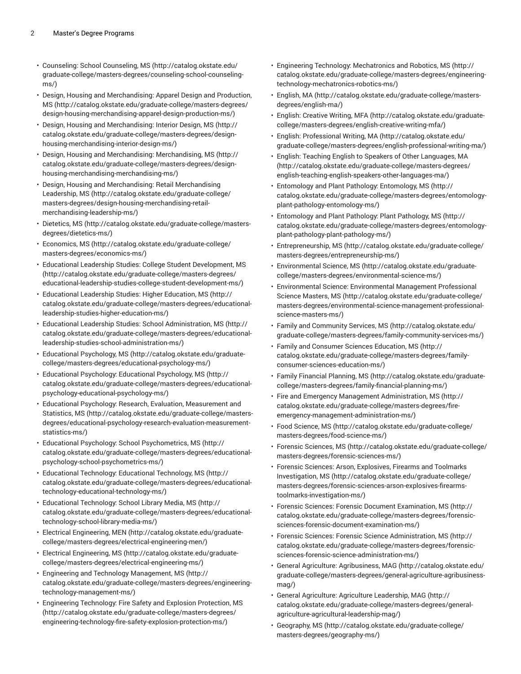- [Counseling: School Counseling, MS \(http://catalog.okstate.edu/](http://catalog.okstate.edu/graduate-college/masters-degrees/counseling-school-counseling-ms/) [graduate-college/masters-degrees/counseling-school-counseling](http://catalog.okstate.edu/graduate-college/masters-degrees/counseling-school-counseling-ms/)[ms/](http://catalog.okstate.edu/graduate-college/masters-degrees/counseling-school-counseling-ms/))
- Design, Housing and [Merchandising:](http://catalog.okstate.edu/graduate-college/masters-degrees/design-housing-merchandising-apparel-design-production-ms/) Apparel Design and Production, [MS](http://catalog.okstate.edu/graduate-college/masters-degrees/design-housing-merchandising-apparel-design-production-ms/) ([http://catalog.okstate.edu/graduate-college/masters-degrees/](http://catalog.okstate.edu/graduate-college/masters-degrees/design-housing-merchandising-apparel-design-production-ms/) [design-housing-merchandising-apparel-design-production-ms/\)](http://catalog.okstate.edu/graduate-college/masters-degrees/design-housing-merchandising-apparel-design-production-ms/)
- Design, Housing and [Merchandising:](http://catalog.okstate.edu/graduate-college/masters-degrees/design-housing-merchandising-interior-design-ms/) Interior Design, MS [\(http://](http://catalog.okstate.edu/graduate-college/masters-degrees/design-housing-merchandising-interior-design-ms/) [catalog.okstate.edu/graduate-college/masters-degrees/design](http://catalog.okstate.edu/graduate-college/masters-degrees/design-housing-merchandising-interior-design-ms/)[housing-merchandising-interior-design-ms/](http://catalog.okstate.edu/graduate-college/masters-degrees/design-housing-merchandising-interior-design-ms/))
- Design, Housing and [Merchandising:](http://catalog.okstate.edu/graduate-college/masters-degrees/design-housing-merchandising-merchandising-ms/) Merchandising, MS ([http://](http://catalog.okstate.edu/graduate-college/masters-degrees/design-housing-merchandising-merchandising-ms/) [catalog.okstate.edu/graduate-college/masters-degrees/design](http://catalog.okstate.edu/graduate-college/masters-degrees/design-housing-merchandising-merchandising-ms/)[housing-merchandising-merchandising-ms/\)](http://catalog.okstate.edu/graduate-college/masters-degrees/design-housing-merchandising-merchandising-ms/)
- Design, Housing and [Merchandising:](http://catalog.okstate.edu/graduate-college/masters-degrees/design-housing-merchandising-retail-merchandising-leadership-ms/) Retail Merchandising [Leadership, MS](http://catalog.okstate.edu/graduate-college/masters-degrees/design-housing-merchandising-retail-merchandising-leadership-ms/) ([http://catalog.okstate.edu/graduate-college/](http://catalog.okstate.edu/graduate-college/masters-degrees/design-housing-merchandising-retail-merchandising-leadership-ms/) [masters-degrees/design-housing-merchandising-retail](http://catalog.okstate.edu/graduate-college/masters-degrees/design-housing-merchandising-retail-merchandising-leadership-ms/)[merchandising-leadership-ms/\)](http://catalog.okstate.edu/graduate-college/masters-degrees/design-housing-merchandising-retail-merchandising-leadership-ms/)
- [Dietetics, MS](http://catalog.okstate.edu/graduate-college/masters-degrees/dietetics-ms/) ([http://catalog.okstate.edu/graduate-college/masters](http://catalog.okstate.edu/graduate-college/masters-degrees/dietetics-ms/)[degrees/dietetics-ms/\)](http://catalog.okstate.edu/graduate-college/masters-degrees/dietetics-ms/)
- [Economics,](http://catalog.okstate.edu/graduate-college/masters-degrees/economics-ms/) MS [\(http://catalog.okstate.edu/graduate-college/](http://catalog.okstate.edu/graduate-college/masters-degrees/economics-ms/) [masters-degrees/economics-ms/\)](http://catalog.okstate.edu/graduate-college/masters-degrees/economics-ms/)
- Educational Leadership Studies: College Student [Development,](http://catalog.okstate.edu/graduate-college/masters-degrees/educational-leadership-studies-college-student-development-ms/) MS ([http://catalog.okstate.edu/graduate-college/masters-degrees/](http://catalog.okstate.edu/graduate-college/masters-degrees/educational-leadership-studies-college-student-development-ms/) [educational-leadership-studies-college-student-development-ms/](http://catalog.okstate.edu/graduate-college/masters-degrees/educational-leadership-studies-college-student-development-ms/))
- [Educational](http://catalog.okstate.edu/graduate-college/masters-degrees/educational-leadership-studies-higher-education-ms/) Leadership Studies: Higher Education, MS ([http://](http://catalog.okstate.edu/graduate-college/masters-degrees/educational-leadership-studies-higher-education-ms/) [catalog.okstate.edu/graduate-college/masters-degrees/educational](http://catalog.okstate.edu/graduate-college/masters-degrees/educational-leadership-studies-higher-education-ms/)[leadership-studies-higher-education-ms/](http://catalog.okstate.edu/graduate-college/masters-degrees/educational-leadership-studies-higher-education-ms/))
- Educational Leadership Studies: School [Administration,](http://catalog.okstate.edu/graduate-college/masters-degrees/educational-leadership-studies-school-administration-ms/) MS ([http://](http://catalog.okstate.edu/graduate-college/masters-degrees/educational-leadership-studies-school-administration-ms/) [catalog.okstate.edu/graduate-college/masters-degrees/educational](http://catalog.okstate.edu/graduate-college/masters-degrees/educational-leadership-studies-school-administration-ms/)[leadership-studies-school-administration-ms/\)](http://catalog.okstate.edu/graduate-college/masters-degrees/educational-leadership-studies-school-administration-ms/)
- Educational [Psychology,](http://catalog.okstate.edu/graduate-college/masters-degrees/educational-psychology-ms/) MS ([http://catalog.okstate.edu/graduate](http://catalog.okstate.edu/graduate-college/masters-degrees/educational-psychology-ms/)[college/masters-degrees/educational-psychology-ms/\)](http://catalog.okstate.edu/graduate-college/masters-degrees/educational-psychology-ms/)
- Educational [Psychology:](http://catalog.okstate.edu/graduate-college/masters-degrees/educational-psychology-educational-psychology-ms/) Educational Psychology, MS [\(http://](http://catalog.okstate.edu/graduate-college/masters-degrees/educational-psychology-educational-psychology-ms/) [catalog.okstate.edu/graduate-college/masters-degrees/educational](http://catalog.okstate.edu/graduate-college/masters-degrees/educational-psychology-educational-psychology-ms/)[psychology-educational-psychology-ms/](http://catalog.okstate.edu/graduate-college/masters-degrees/educational-psychology-educational-psychology-ms/))
- Educational Psychology: Research, Evaluation, [Measurement](http://catalog.okstate.edu/graduate-college/masters-degrees/educational-psychology-research-evaluation-measurement-statistics-ms/) and [Statistics, MS \(http://catalog.okstate.edu/graduate-college/masters](http://catalog.okstate.edu/graduate-college/masters-degrees/educational-psychology-research-evaluation-measurement-statistics-ms/)[degrees/educational-psychology-research-evaluation-measurement](http://catalog.okstate.edu/graduate-college/masters-degrees/educational-psychology-research-evaluation-measurement-statistics-ms/)[statistics-ms/](http://catalog.okstate.edu/graduate-college/masters-degrees/educational-psychology-research-evaluation-measurement-statistics-ms/))
- Educational Psychology: School [Psychometrics,](http://catalog.okstate.edu/graduate-college/masters-degrees/educational-psychology-school-psychometrics-ms/) MS [\(http://](http://catalog.okstate.edu/graduate-college/masters-degrees/educational-psychology-school-psychometrics-ms/) [catalog.okstate.edu/graduate-college/masters-degrees/educational](http://catalog.okstate.edu/graduate-college/masters-degrees/educational-psychology-school-psychometrics-ms/)[psychology-school-psychometrics-ms/](http://catalog.okstate.edu/graduate-college/masters-degrees/educational-psychology-school-psychometrics-ms/))
- Educational [Technology:](http://catalog.okstate.edu/graduate-college/masters-degrees/educational-technology-educational-technology-ms/) Educational Technology, MS [\(http://](http://catalog.okstate.edu/graduate-college/masters-degrees/educational-technology-educational-technology-ms/) [catalog.okstate.edu/graduate-college/masters-degrees/educational](http://catalog.okstate.edu/graduate-college/masters-degrees/educational-technology-educational-technology-ms/)[technology-educational-technology-ms/](http://catalog.okstate.edu/graduate-college/masters-degrees/educational-technology-educational-technology-ms/))
- Educational [Technology:](http://catalog.okstate.edu/graduate-college/masters-degrees/educational-technology-school-library-media-ms/) School Library Media, MS ([http://](http://catalog.okstate.edu/graduate-college/masters-degrees/educational-technology-school-library-media-ms/) [catalog.okstate.edu/graduate-college/masters-degrees/educational](http://catalog.okstate.edu/graduate-college/masters-degrees/educational-technology-school-library-media-ms/)[technology-school-library-media-ms/\)](http://catalog.okstate.edu/graduate-college/masters-degrees/educational-technology-school-library-media-ms/)
- [Electrical Engineering, MEN \(http://catalog.okstate.edu/graduate](http://catalog.okstate.edu/graduate-college/masters-degrees/electrical-engineering-men/)[college/masters-degrees/electrical-engineering-men/](http://catalog.okstate.edu/graduate-college/masters-degrees/electrical-engineering-men/))
- [Electrical Engineering, MS](http://catalog.okstate.edu/graduate-college/masters-degrees/electrical-engineering-ms/) [\(http://catalog.okstate.edu/graduate](http://catalog.okstate.edu/graduate-college/masters-degrees/electrical-engineering-ms/)[college/masters-degrees/electrical-engineering-ms/\)](http://catalog.okstate.edu/graduate-college/masters-degrees/electrical-engineering-ms/)
- Engineering and Technology [Management,](http://catalog.okstate.edu/graduate-college/masters-degrees/engineering-technology-management-ms/) MS [\(http://](http://catalog.okstate.edu/graduate-college/masters-degrees/engineering-technology-management-ms/) [catalog.okstate.edu/graduate-college/masters-degrees/engineering](http://catalog.okstate.edu/graduate-college/masters-degrees/engineering-technology-management-ms/)[technology-management-ms/](http://catalog.okstate.edu/graduate-college/masters-degrees/engineering-technology-management-ms/))
- Engineering [Technology:](http://catalog.okstate.edu/graduate-college/masters-degrees/engineering-technology-fire-safety-explosion-protection-ms/) Fire Safety and Explosion Protection, MS ([http://catalog.okstate.edu/graduate-college/masters-degrees/](http://catalog.okstate.edu/graduate-college/masters-degrees/engineering-technology-fire-safety-explosion-protection-ms/) [engineering-technology-fire-safety-explosion-protection-ms/\)](http://catalog.okstate.edu/graduate-college/masters-degrees/engineering-technology-fire-safety-explosion-protection-ms/)
- Engineering Technology: [Mechatronics](http://catalog.okstate.edu/graduate-college/masters-degrees/engineering-technology-mechatronics-robotics-ms/) and Robotics, MS ([http://](http://catalog.okstate.edu/graduate-college/masters-degrees/engineering-technology-mechatronics-robotics-ms/) [catalog.okstate.edu/graduate-college/masters-degrees/engineering](http://catalog.okstate.edu/graduate-college/masters-degrees/engineering-technology-mechatronics-robotics-ms/)[technology-mechatronics-robotics-ms/](http://catalog.okstate.edu/graduate-college/masters-degrees/engineering-technology-mechatronics-robotics-ms/))
- [English,](http://catalog.okstate.edu/graduate-college/masters-degrees/english-ma/) MA [\(http://catalog.okstate.edu/graduate-college/masters](http://catalog.okstate.edu/graduate-college/masters-degrees/english-ma/)[degrees/english-ma/](http://catalog.okstate.edu/graduate-college/masters-degrees/english-ma/))
- English: [Creative](http://catalog.okstate.edu/graduate-college/masters-degrees/english-creative-writing-mfa/) Writing, MFA ([http://catalog.okstate.edu/graduate](http://catalog.okstate.edu/graduate-college/masters-degrees/english-creative-writing-mfa/)[college/masters-degrees/english-creative-writing-mfa/](http://catalog.okstate.edu/graduate-college/masters-degrees/english-creative-writing-mfa/))
- English: [Professional](http://catalog.okstate.edu/graduate-college/masters-degrees/english-professional-writing-ma/) Writing, MA ([http://catalog.okstate.edu/](http://catalog.okstate.edu/graduate-college/masters-degrees/english-professional-writing-ma/) [graduate-college/masters-degrees/english-professional-writing-ma/\)](http://catalog.okstate.edu/graduate-college/masters-degrees/english-professional-writing-ma/)
- English: Teaching English to Speakers of Other [Languages,](http://catalog.okstate.edu/graduate-college/masters-degrees/english-teaching-english-speakers-other-languages-ma/) MA [\(http://catalog.okstate.edu/graduate-college/masters-degrees/](http://catalog.okstate.edu/graduate-college/masters-degrees/english-teaching-english-speakers-other-languages-ma/) [english-teaching-english-speakers-other-languages-ma/](http://catalog.okstate.edu/graduate-college/masters-degrees/english-teaching-english-speakers-other-languages-ma/))
- Entomology and Plant Pathology: [Entomology,](http://catalog.okstate.edu/graduate-college/masters-degrees/entomology-plant-pathology-entomology-ms/) MS [\(http://](http://catalog.okstate.edu/graduate-college/masters-degrees/entomology-plant-pathology-entomology-ms/) [catalog.okstate.edu/graduate-college/masters-degrees/entomology](http://catalog.okstate.edu/graduate-college/masters-degrees/entomology-plant-pathology-entomology-ms/)[plant-pathology-entomology-ms/](http://catalog.okstate.edu/graduate-college/masters-degrees/entomology-plant-pathology-entomology-ms/))
- [Entomology](http://catalog.okstate.edu/graduate-college/masters-degrees/entomology-plant-pathology-plant-pathology-ms/) and Plant Pathology: Plant Pathology, MS [\(http://](http://catalog.okstate.edu/graduate-college/masters-degrees/entomology-plant-pathology-plant-pathology-ms/) [catalog.okstate.edu/graduate-college/masters-degrees/entomology](http://catalog.okstate.edu/graduate-college/masters-degrees/entomology-plant-pathology-plant-pathology-ms/)[plant-pathology-plant-pathology-ms/\)](http://catalog.okstate.edu/graduate-college/masters-degrees/entomology-plant-pathology-plant-pathology-ms/)
- [Entrepreneurship,](http://catalog.okstate.edu/graduate-college/masters-degrees/entrepreneurship-ms/) MS [\(http://catalog.okstate.edu/graduate-college/](http://catalog.okstate.edu/graduate-college/masters-degrees/entrepreneurship-ms/) [masters-degrees/entrepreneurship-ms/\)](http://catalog.okstate.edu/graduate-college/masters-degrees/entrepreneurship-ms/)
- [Environmental](http://catalog.okstate.edu/graduate-college/masters-degrees/environmental-science-ms/) Science, MS ([http://catalog.okstate.edu/graduate](http://catalog.okstate.edu/graduate-college/masters-degrees/environmental-science-ms/)[college/masters-degrees/environmental-science-ms/](http://catalog.okstate.edu/graduate-college/masters-degrees/environmental-science-ms/))
- [Environmental](http://catalog.okstate.edu/graduate-college/masters-degrees/environmental-science-management-professional-science-masters-ms/) Science: Environmental Management Professional [Science Masters, MS](http://catalog.okstate.edu/graduate-college/masters-degrees/environmental-science-management-professional-science-masters-ms/) ([http://catalog.okstate.edu/graduate-college/](http://catalog.okstate.edu/graduate-college/masters-degrees/environmental-science-management-professional-science-masters-ms/) [masters-degrees/environmental-science-management-professional](http://catalog.okstate.edu/graduate-college/masters-degrees/environmental-science-management-professional-science-masters-ms/)[science-masters-ms/](http://catalog.okstate.edu/graduate-college/masters-degrees/environmental-science-management-professional-science-masters-ms/))
- Family and [Community](http://catalog.okstate.edu/graduate-college/masters-degrees/family-community-services-ms/) Services, MS [\(http://catalog.okstate.edu/](http://catalog.okstate.edu/graduate-college/masters-degrees/family-community-services-ms/) [graduate-college/masters-degrees/family-community-services-ms/](http://catalog.okstate.edu/graduate-college/masters-degrees/family-community-services-ms/))
- Family and Consumer Sciences [Education,](http://catalog.okstate.edu/graduate-college/masters-degrees/family-consumer-sciences-education-ms/) MS ([http://](http://catalog.okstate.edu/graduate-college/masters-degrees/family-consumer-sciences-education-ms/) [catalog.okstate.edu/graduate-college/masters-degrees/family](http://catalog.okstate.edu/graduate-college/masters-degrees/family-consumer-sciences-education-ms/)[consumer-sciences-education-ms/](http://catalog.okstate.edu/graduate-college/masters-degrees/family-consumer-sciences-education-ms/))
- Family Financial [Planning,](http://catalog.okstate.edu/graduate-college/masters-degrees/family-financial-planning-ms/) MS [\(http://catalog.okstate.edu/graduate](http://catalog.okstate.edu/graduate-college/masters-degrees/family-financial-planning-ms/)[college/masters-degrees/family-financial-planning-ms/\)](http://catalog.okstate.edu/graduate-college/masters-degrees/family-financial-planning-ms/)
- Fire and Emergency Management [Administration,](http://catalog.okstate.edu/graduate-college/masters-degrees/fire-emergency-management-administration-ms/) MS ([http://](http://catalog.okstate.edu/graduate-college/masters-degrees/fire-emergency-management-administration-ms/) [catalog.okstate.edu/graduate-college/masters-degrees/fire](http://catalog.okstate.edu/graduate-college/masters-degrees/fire-emergency-management-administration-ms/)[emergency-management-administration-ms/](http://catalog.okstate.edu/graduate-college/masters-degrees/fire-emergency-management-administration-ms/))
- Food [Science,](http://catalog.okstate.edu/graduate-college/masters-degrees/food-science-ms/) MS [\(http://catalog.okstate.edu/graduate-college/](http://catalog.okstate.edu/graduate-college/masters-degrees/food-science-ms/) [masters-degrees/food-science-ms/\)](http://catalog.okstate.edu/graduate-college/masters-degrees/food-science-ms/)
- Forensic [Sciences,](http://catalog.okstate.edu/graduate-college/masters-degrees/forensic-sciences-ms/) MS [\(http://catalog.okstate.edu/graduate-college/](http://catalog.okstate.edu/graduate-college/masters-degrees/forensic-sciences-ms/) [masters-degrees/forensic-sciences-ms/\)](http://catalog.okstate.edu/graduate-college/masters-degrees/forensic-sciences-ms/)
- Forensic Sciences: Arson, [Explosives,](http://catalog.okstate.edu/graduate-college/masters-degrees/forensic-sciences-arson-explosives-firearms-toolmarks-investigation-ms/) Firearms and Toolmarks [Investigation,](http://catalog.okstate.edu/graduate-college/masters-degrees/forensic-sciences-arson-explosives-firearms-toolmarks-investigation-ms/) MS [\(http://catalog.okstate.edu/graduate-college/](http://catalog.okstate.edu/graduate-college/masters-degrees/forensic-sciences-arson-explosives-firearms-toolmarks-investigation-ms/) [masters-degrees/forensic-sciences-arson-explosives-firearms](http://catalog.okstate.edu/graduate-college/masters-degrees/forensic-sciences-arson-explosives-firearms-toolmarks-investigation-ms/)[toolmarks-investigation-ms/\)](http://catalog.okstate.edu/graduate-college/masters-degrees/forensic-sciences-arson-explosives-firearms-toolmarks-investigation-ms/)
- Forensic Sciences: Forensic Document [Examination,](http://catalog.okstate.edu/graduate-college/masters-degrees/forensic-sciences-forensic-document-examination-ms/) MS [\(http://](http://catalog.okstate.edu/graduate-college/masters-degrees/forensic-sciences-forensic-document-examination-ms/) [catalog.okstate.edu/graduate-college/masters-degrees/forensic](http://catalog.okstate.edu/graduate-college/masters-degrees/forensic-sciences-forensic-document-examination-ms/)[sciences-forensic-document-examination-ms/](http://catalog.okstate.edu/graduate-college/masters-degrees/forensic-sciences-forensic-document-examination-ms/))
- Forensic Sciences: Forensic Science [Administration,](http://catalog.okstate.edu/graduate-college/masters-degrees/forensic-sciences-forensic-science-administration-ms/) MS ([http://](http://catalog.okstate.edu/graduate-college/masters-degrees/forensic-sciences-forensic-science-administration-ms/) [catalog.okstate.edu/graduate-college/masters-degrees/forensic](http://catalog.okstate.edu/graduate-college/masters-degrees/forensic-sciences-forensic-science-administration-ms/)[sciences-forensic-science-administration-ms/\)](http://catalog.okstate.edu/graduate-college/masters-degrees/forensic-sciences-forensic-science-administration-ms/)
- General Agriculture: [Agribusiness,](http://catalog.okstate.edu/graduate-college/masters-degrees/general-agriculture-agribusiness-mag/) MAG [\(http://catalog.okstate.edu/](http://catalog.okstate.edu/graduate-college/masters-degrees/general-agriculture-agribusiness-mag/) [graduate-college/masters-degrees/general-agriculture-agribusiness](http://catalog.okstate.edu/graduate-college/masters-degrees/general-agriculture-agribusiness-mag/)[mag/\)](http://catalog.okstate.edu/graduate-college/masters-degrees/general-agriculture-agribusiness-mag/)
- General [Agriculture:](http://catalog.okstate.edu/graduate-college/masters-degrees/general-agriculture-agricultural-leadership-mag/) Agriculture Leadership, MAG [\(http://](http://catalog.okstate.edu/graduate-college/masters-degrees/general-agriculture-agricultural-leadership-mag/) [catalog.okstate.edu/graduate-college/masters-degrees/general](http://catalog.okstate.edu/graduate-college/masters-degrees/general-agriculture-agricultural-leadership-mag/)[agriculture-agricultural-leadership-mag/](http://catalog.okstate.edu/graduate-college/masters-degrees/general-agriculture-agricultural-leadership-mag/))
- [Geography,](http://catalog.okstate.edu/graduate-college/masters-degrees/geography-ms/) MS ([http://catalog.okstate.edu/graduate-college/](http://catalog.okstate.edu/graduate-college/masters-degrees/geography-ms/) [masters-degrees/geography-ms/\)](http://catalog.okstate.edu/graduate-college/masters-degrees/geography-ms/)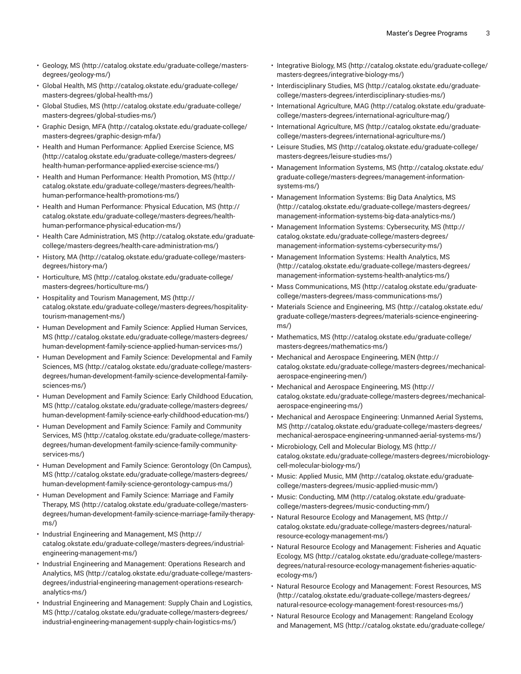- [Geology,](http://catalog.okstate.edu/graduate-college/masters-degrees/geology-ms/) MS ([http://catalog.okstate.edu/graduate-college/masters](http://catalog.okstate.edu/graduate-college/masters-degrees/geology-ms/)[degrees/geology-ms/](http://catalog.okstate.edu/graduate-college/masters-degrees/geology-ms/))
- [Global Health, MS](http://catalog.okstate.edu/graduate-college/masters-degrees/global-health-ms/) ([http://catalog.okstate.edu/graduate-college/](http://catalog.okstate.edu/graduate-college/masters-degrees/global-health-ms/) [masters-degrees/global-health-ms/\)](http://catalog.okstate.edu/graduate-college/masters-degrees/global-health-ms/)
- [Global Studies, MS \(http://catalog.okstate.edu/graduate-college/](http://catalog.okstate.edu/graduate-college/masters-degrees/global-studies-ms/) [masters-degrees/global-studies-ms/\)](http://catalog.okstate.edu/graduate-college/masters-degrees/global-studies-ms/)
- [Graphic](http://catalog.okstate.edu/graduate-college/masters-degrees/graphic-design-mfa/) Design, MFA [\(http://catalog.okstate.edu/graduate-college/](http://catalog.okstate.edu/graduate-college/masters-degrees/graphic-design-mfa/) [masters-degrees/graphic-design-mfa/](http://catalog.okstate.edu/graduate-college/masters-degrees/graphic-design-mfa/))
- Health and Human [Performance:](http://catalog.okstate.edu/graduate-college/masters-degrees/health-human-performance-applied-exercise-science-ms/) Applied Exercise Science, MS ([http://catalog.okstate.edu/graduate-college/masters-degrees/](http://catalog.okstate.edu/graduate-college/masters-degrees/health-human-performance-applied-exercise-science-ms/) [health-human-performance-applied-exercise-science-ms/\)](http://catalog.okstate.edu/graduate-college/masters-degrees/health-human-performance-applied-exercise-science-ms/)
- Health and Human [Performance:](http://catalog.okstate.edu/graduate-college/masters-degrees/health-human-performance-health-promotions-ms/) Health Promotion, MS [\(http://](http://catalog.okstate.edu/graduate-college/masters-degrees/health-human-performance-health-promotions-ms/) [catalog.okstate.edu/graduate-college/masters-degrees/health](http://catalog.okstate.edu/graduate-college/masters-degrees/health-human-performance-health-promotions-ms/)[human-performance-health-promotions-ms/](http://catalog.okstate.edu/graduate-college/masters-degrees/health-human-performance-health-promotions-ms/))
- Health and Human [Performance:](http://catalog.okstate.edu/graduate-college/masters-degrees/health-human-performance-physical-education-ms/) Physical Education, MS ([http://](http://catalog.okstate.edu/graduate-college/masters-degrees/health-human-performance-physical-education-ms/) [catalog.okstate.edu/graduate-college/masters-degrees/health](http://catalog.okstate.edu/graduate-college/masters-degrees/health-human-performance-physical-education-ms/)[human-performance-physical-education-ms/\)](http://catalog.okstate.edu/graduate-college/masters-degrees/health-human-performance-physical-education-ms/)
- Health Care [Administration,](http://catalog.okstate.edu/graduate-college/masters-degrees/health-care-administration-ms/) MS [\(http://catalog.okstate.edu/graduate](http://catalog.okstate.edu/graduate-college/masters-degrees/health-care-administration-ms/)[college/masters-degrees/health-care-administration-ms/](http://catalog.okstate.edu/graduate-college/masters-degrees/health-care-administration-ms/))
- [History,](http://catalog.okstate.edu/graduate-college/masters-degrees/history-ma/) MA ([http://catalog.okstate.edu/graduate-college/masters](http://catalog.okstate.edu/graduate-college/masters-degrees/history-ma/)[degrees/history-ma/\)](http://catalog.okstate.edu/graduate-college/masters-degrees/history-ma/)
- [Horticulture,](http://catalog.okstate.edu/graduate-college/masters-degrees/horticulture-ms/) MS [\(http://catalog.okstate.edu/graduate-college/](http://catalog.okstate.edu/graduate-college/masters-degrees/horticulture-ms/) [masters-degrees/horticulture-ms/\)](http://catalog.okstate.edu/graduate-college/masters-degrees/horticulture-ms/)
- Hospitality and Tourism [Management,](http://catalog.okstate.edu/graduate-college/masters-degrees/hospitality-tourism-management-ms/) MS ([http://](http://catalog.okstate.edu/graduate-college/masters-degrees/hospitality-tourism-management-ms/) [catalog.okstate.edu/graduate-college/masters-degrees/hospitality](http://catalog.okstate.edu/graduate-college/masters-degrees/hospitality-tourism-management-ms/)[tourism-management-ms/](http://catalog.okstate.edu/graduate-college/masters-degrees/hospitality-tourism-management-ms/))
- Human [Development](http://catalog.okstate.edu/graduate-college/masters-degrees/human-development-family-science-applied-human-services-ms/) and Family Science: Applied Human Services, [MS](http://catalog.okstate.edu/graduate-college/masters-degrees/human-development-family-science-applied-human-services-ms/) ([http://catalog.okstate.edu/graduate-college/masters-degrees/](http://catalog.okstate.edu/graduate-college/masters-degrees/human-development-family-science-applied-human-services-ms/) [human-development-family-science-applied-human-services-ms/](http://catalog.okstate.edu/graduate-college/masters-degrees/human-development-family-science-applied-human-services-ms/))
- Human Development and Family Science: [Developmental](http://catalog.okstate.edu/graduate-college/masters-degrees/human-development-family-science-developmental-family-sciences-ms/) and Family [Sciences, MS](http://catalog.okstate.edu/graduate-college/masters-degrees/human-development-family-science-developmental-family-sciences-ms/) ([http://catalog.okstate.edu/graduate-college/masters](http://catalog.okstate.edu/graduate-college/masters-degrees/human-development-family-science-developmental-family-sciences-ms/)[degrees/human-development-family-science-developmental-family](http://catalog.okstate.edu/graduate-college/masters-degrees/human-development-family-science-developmental-family-sciences-ms/)[sciences-ms/\)](http://catalog.okstate.edu/graduate-college/masters-degrees/human-development-family-science-developmental-family-sciences-ms/)
- Human [Development](http://catalog.okstate.edu/graduate-college/masters-degrees/human-development-family-science-early-childhood-education-ms/) and Family Science: Early Childhood Education, [MS](http://catalog.okstate.edu/graduate-college/masters-degrees/human-development-family-science-early-childhood-education-ms/) ([http://catalog.okstate.edu/graduate-college/masters-degrees/](http://catalog.okstate.edu/graduate-college/masters-degrees/human-development-family-science-early-childhood-education-ms/) [human-development-family-science-early-childhood-education-ms/\)](http://catalog.okstate.edu/graduate-college/masters-degrees/human-development-family-science-early-childhood-education-ms/)
- Human [Development](http://catalog.okstate.edu/graduate-college/masters-degrees/human-development-family-science-family-community-services-ms/) and Family Science: Family and Community [Services,](http://catalog.okstate.edu/graduate-college/masters-degrees/human-development-family-science-family-community-services-ms/) MS ([http://catalog.okstate.edu/graduate-college/masters](http://catalog.okstate.edu/graduate-college/masters-degrees/human-development-family-science-family-community-services-ms/)[degrees/human-development-family-science-family-community](http://catalog.okstate.edu/graduate-college/masters-degrees/human-development-family-science-family-community-services-ms/)[services-ms/\)](http://catalog.okstate.edu/graduate-college/masters-degrees/human-development-family-science-family-community-services-ms/)
- Human [Development](http://catalog.okstate.edu/graduate-college/masters-degrees/human-development-family-science-gerontology-campus-ms/) and Family Science: Gerontology (On Campus), [MS](http://catalog.okstate.edu/graduate-college/masters-degrees/human-development-family-science-gerontology-campus-ms/) ([http://catalog.okstate.edu/graduate-college/masters-degrees/](http://catalog.okstate.edu/graduate-college/masters-degrees/human-development-family-science-gerontology-campus-ms/) [human-development-family-science-gerontology-campus-ms/\)](http://catalog.okstate.edu/graduate-college/masters-degrees/human-development-family-science-gerontology-campus-ms/)
- Human [Development](http://catalog.okstate.edu/graduate-college/masters-degrees/human-development-family-science-marriage-family-therapy-ms/) and Family Science: Marriage and Family [Therapy,](http://catalog.okstate.edu/graduate-college/masters-degrees/human-development-family-science-marriage-family-therapy-ms/) MS ([http://catalog.okstate.edu/graduate-college/masters](http://catalog.okstate.edu/graduate-college/masters-degrees/human-development-family-science-marriage-family-therapy-ms/)[degrees/human-development-family-science-marriage-family-therapy](http://catalog.okstate.edu/graduate-college/masters-degrees/human-development-family-science-marriage-family-therapy-ms/)[ms/](http://catalog.okstate.edu/graduate-college/masters-degrees/human-development-family-science-marriage-family-therapy-ms/))
- [Industrial Engineering and Management, MS](http://catalog.okstate.edu/graduate-college/masters-degrees/industrial-engineering-management-ms/) ([http://](http://catalog.okstate.edu/graduate-college/masters-degrees/industrial-engineering-management-ms/) [catalog.okstate.edu/graduate-college/masters-degrees/industrial](http://catalog.okstate.edu/graduate-college/masters-degrees/industrial-engineering-management-ms/)[engineering-management-ms/\)](http://catalog.okstate.edu/graduate-college/masters-degrees/industrial-engineering-management-ms/)
- Industrial Engineering and [Management:](http://catalog.okstate.edu/graduate-college/masters-degrees/industrial-engineering-management-operations-research-analytics-ms/) Operations Research and [Analytics, MS](http://catalog.okstate.edu/graduate-college/masters-degrees/industrial-engineering-management-operations-research-analytics-ms/) ([http://catalog.okstate.edu/graduate-college/masters](http://catalog.okstate.edu/graduate-college/masters-degrees/industrial-engineering-management-operations-research-analytics-ms/)[degrees/industrial-engineering-management-operations-research](http://catalog.okstate.edu/graduate-college/masters-degrees/industrial-engineering-management-operations-research-analytics-ms/)[analytics-ms/](http://catalog.okstate.edu/graduate-college/masters-degrees/industrial-engineering-management-operations-research-analytics-ms/))
- [Industrial Engineering and Management: Supply Chain and Logistics,](http://catalog.okstate.edu/graduate-college/masters-degrees/industrial-engineering-management-supply-chain-logistics-ms/) [MS](http://catalog.okstate.edu/graduate-college/masters-degrees/industrial-engineering-management-supply-chain-logistics-ms/) ([http://catalog.okstate.edu/graduate-college/masters-degrees/](http://catalog.okstate.edu/graduate-college/masters-degrees/industrial-engineering-management-supply-chain-logistics-ms/) [industrial-engineering-management-supply-chain-logistics-ms/](http://catalog.okstate.edu/graduate-college/masters-degrees/industrial-engineering-management-supply-chain-logistics-ms/))
- [Integrative](http://catalog.okstate.edu/graduate-college/masters-degrees/integrative-biology-ms/) Biology, MS [\(http://catalog.okstate.edu/graduate-college/](http://catalog.okstate.edu/graduate-college/masters-degrees/integrative-biology-ms/) [masters-degrees/integrative-biology-ms/](http://catalog.okstate.edu/graduate-college/masters-degrees/integrative-biology-ms/))
- [Interdisciplinary](http://catalog.okstate.edu/graduate-college/masters-degrees/interdisciplinary-studies-ms/) Studies, MS ([http://catalog.okstate.edu/graduate](http://catalog.okstate.edu/graduate-college/masters-degrees/interdisciplinary-studies-ms/)[college/masters-degrees/interdisciplinary-studies-ms/\)](http://catalog.okstate.edu/graduate-college/masters-degrees/interdisciplinary-studies-ms/)
- [International](http://catalog.okstate.edu/graduate-college/masters-degrees/international-agriculture-mag/) Agriculture, MAG [\(http://catalog.okstate.edu/graduate](http://catalog.okstate.edu/graduate-college/masters-degrees/international-agriculture-mag/)[college/masters-degrees/international-agriculture-mag/\)](http://catalog.okstate.edu/graduate-college/masters-degrees/international-agriculture-mag/)
- [International](http://catalog.okstate.edu/graduate-college/masters-degrees/international-agriculture-ms/) Agriculture, MS ([http://catalog.okstate.edu/graduate](http://catalog.okstate.edu/graduate-college/masters-degrees/international-agriculture-ms/)[college/masters-degrees/international-agriculture-ms/](http://catalog.okstate.edu/graduate-college/masters-degrees/international-agriculture-ms/))
- Leisure [Studies,](http://catalog.okstate.edu/graduate-college/masters-degrees/leisure-studies-ms/) MS ([http://catalog.okstate.edu/graduate-college/](http://catalog.okstate.edu/graduate-college/masters-degrees/leisure-studies-ms/) [masters-degrees/leisure-studies-ms/](http://catalog.okstate.edu/graduate-college/masters-degrees/leisure-studies-ms/))
- [Management Information Systems, MS](http://catalog.okstate.edu/graduate-college/masters-degrees/management-information-systems-ms/) ([http://catalog.okstate.edu/](http://catalog.okstate.edu/graduate-college/masters-degrees/management-information-systems-ms/) [graduate-college/masters-degrees/management-information](http://catalog.okstate.edu/graduate-college/masters-degrees/management-information-systems-ms/)[systems-ms/\)](http://catalog.okstate.edu/graduate-college/masters-degrees/management-information-systems-ms/)
- [Management Information Systems: Big Data Analytics, MS](http://catalog.okstate.edu/graduate-college/masters-degrees/management-information-systems-big-data-analytics-ms/) [\(http://catalog.okstate.edu/graduate-college/masters-degrees/](http://catalog.okstate.edu/graduate-college/masters-degrees/management-information-systems-big-data-analytics-ms/) [management-information-systems-big-data-analytics-ms/\)](http://catalog.okstate.edu/graduate-college/masters-degrees/management-information-systems-big-data-analytics-ms/)
- Management Information Systems: [Cybersecurity,](http://catalog.okstate.edu/graduate-college/masters-degrees/management-information-systems-cybersecurity-ms/) MS [\(http://](http://catalog.okstate.edu/graduate-college/masters-degrees/management-information-systems-cybersecurity-ms/) [catalog.okstate.edu/graduate-college/masters-degrees/](http://catalog.okstate.edu/graduate-college/masters-degrees/management-information-systems-cybersecurity-ms/) [management-information-systems-cybersecurity-ms/](http://catalog.okstate.edu/graduate-college/masters-degrees/management-information-systems-cybersecurity-ms/))
- [Management Information Systems: Health Analytics, MS](http://catalog.okstate.edu/graduate-college/masters-degrees/management-information-systems-health-analytics-ms/) [\(http://catalog.okstate.edu/graduate-college/masters-degrees/](http://catalog.okstate.edu/graduate-college/masters-degrees/management-information-systems-health-analytics-ms/) [management-information-systems-health-analytics-ms/\)](http://catalog.okstate.edu/graduate-college/masters-degrees/management-information-systems-health-analytics-ms/)
- [Mass Communications, MS](http://catalog.okstate.edu/graduate-college/masters-degrees/mass-communications-ms/) ([http://catalog.okstate.edu/graduate](http://catalog.okstate.edu/graduate-college/masters-degrees/mass-communications-ms/)[college/masters-degrees/mass-communications-ms/](http://catalog.okstate.edu/graduate-college/masters-degrees/mass-communications-ms/))
- [Materials Science and Engineering, MS](http://catalog.okstate.edu/graduate-college/masters-degrees/materials-science-engineering-ms/) ([http://catalog.okstate.edu/](http://catalog.okstate.edu/graduate-college/masters-degrees/materials-science-engineering-ms/) [graduate-college/masters-degrees/materials-science-engineering](http://catalog.okstate.edu/graduate-college/masters-degrees/materials-science-engineering-ms/)[ms/\)](http://catalog.okstate.edu/graduate-college/masters-degrees/materials-science-engineering-ms/)
- [Mathematics, MS](http://catalog.okstate.edu/graduate-college/masters-degrees/mathematics-ms/) [\(http://catalog.okstate.edu/graduate-college/](http://catalog.okstate.edu/graduate-college/masters-degrees/mathematics-ms/) [masters-degrees/mathematics-ms/](http://catalog.okstate.edu/graduate-college/masters-degrees/mathematics-ms/))
- Mechanical and Aerospace [Engineering,](http://catalog.okstate.edu/graduate-college/masters-degrees/mechanical-aerospace-engineering-men/) MEN ([http://](http://catalog.okstate.edu/graduate-college/masters-degrees/mechanical-aerospace-engineering-men/) [catalog.okstate.edu/graduate-college/masters-degrees/mechanical](http://catalog.okstate.edu/graduate-college/masters-degrees/mechanical-aerospace-engineering-men/)[aerospace-engineering-men/](http://catalog.okstate.edu/graduate-college/masters-degrees/mechanical-aerospace-engineering-men/))
- Mechanical and Aerospace [Engineering,](http://catalog.okstate.edu/graduate-college/masters-degrees/mechanical-aerospace-engineering-ms/) MS [\(http://](http://catalog.okstate.edu/graduate-college/masters-degrees/mechanical-aerospace-engineering-ms/) [catalog.okstate.edu/graduate-college/masters-degrees/mechanical](http://catalog.okstate.edu/graduate-college/masters-degrees/mechanical-aerospace-engineering-ms/)[aerospace-engineering-ms/\)](http://catalog.okstate.edu/graduate-college/masters-degrees/mechanical-aerospace-engineering-ms/)
- Mechanical and Aerospace [Engineering:](http://catalog.okstate.edu/graduate-college/masters-degrees/mechanical-aerospace-engineering-unmanned-aerial-systems-ms/) Unmanned Aerial Systems, [MS](http://catalog.okstate.edu/graduate-college/masters-degrees/mechanical-aerospace-engineering-unmanned-aerial-systems-ms/) [\(http://catalog.okstate.edu/graduate-college/masters-degrees/](http://catalog.okstate.edu/graduate-college/masters-degrees/mechanical-aerospace-engineering-unmanned-aerial-systems-ms/) [mechanical-aerospace-engineering-unmanned-aerial-systems-ms/\)](http://catalog.okstate.edu/graduate-college/masters-degrees/mechanical-aerospace-engineering-unmanned-aerial-systems-ms/)
- [Microbiology,](http://catalog.okstate.edu/graduate-college/masters-degrees/microbiology-cell-molecular-biology-ms/) Cell and Molecular Biology, MS ([http://](http://catalog.okstate.edu/graduate-college/masters-degrees/microbiology-cell-molecular-biology-ms/) [catalog.okstate.edu/graduate-college/masters-degrees/microbiology](http://catalog.okstate.edu/graduate-college/masters-degrees/microbiology-cell-molecular-biology-ms/)[cell-molecular-biology-ms/\)](http://catalog.okstate.edu/graduate-college/masters-degrees/microbiology-cell-molecular-biology-ms/)
- [Music: Applied Music, MM](http://catalog.okstate.edu/graduate-college/masters-degrees/music-applied-music-mm/) ([http://catalog.okstate.edu/graduate](http://catalog.okstate.edu/graduate-college/masters-degrees/music-applied-music-mm/)[college/masters-degrees/music-applied-music-mm/](http://catalog.okstate.edu/graduate-college/masters-degrees/music-applied-music-mm/))
- [Music: Conducting, MM](http://catalog.okstate.edu/graduate-college/masters-degrees/music-conducting-mm/) ([http://catalog.okstate.edu/graduate](http://catalog.okstate.edu/graduate-college/masters-degrees/music-conducting-mm/)[college/masters-degrees/music-conducting-mm/](http://catalog.okstate.edu/graduate-college/masters-degrees/music-conducting-mm/))
- Natural Resource Ecology and [Management,](http://catalog.okstate.edu/graduate-college/masters-degrees/natural-resource-ecology-management-ms/) MS ([http://](http://catalog.okstate.edu/graduate-college/masters-degrees/natural-resource-ecology-management-ms/) [catalog.okstate.edu/graduate-college/masters-degrees/natural](http://catalog.okstate.edu/graduate-college/masters-degrees/natural-resource-ecology-management-ms/)[resource-ecology-management-ms/](http://catalog.okstate.edu/graduate-college/masters-degrees/natural-resource-ecology-management-ms/))
- Natural Resource Ecology and [Management:](http://catalog.okstate.edu/graduate-college/masters-degrees/natural-resource-ecology-management-fisheries-aquatic-ecology-ms/) Fisheries and Aquatic [Ecology,](http://catalog.okstate.edu/graduate-college/masters-degrees/natural-resource-ecology-management-fisheries-aquatic-ecology-ms/) MS [\(http://catalog.okstate.edu/graduate-college/masters](http://catalog.okstate.edu/graduate-college/masters-degrees/natural-resource-ecology-management-fisheries-aquatic-ecology-ms/)[degrees/natural-resource-ecology-management-fisheries-aquatic](http://catalog.okstate.edu/graduate-college/masters-degrees/natural-resource-ecology-management-fisheries-aquatic-ecology-ms/)[ecology-ms/](http://catalog.okstate.edu/graduate-college/masters-degrees/natural-resource-ecology-management-fisheries-aquatic-ecology-ms/))
- Natural Resource Ecology and [Management:](http://catalog.okstate.edu/graduate-college/masters-degrees/natural-resource-ecology-management-forest-resources-ms/) Forest Resources, MS [\(http://catalog.okstate.edu/graduate-college/masters-degrees/](http://catalog.okstate.edu/graduate-college/masters-degrees/natural-resource-ecology-management-forest-resources-ms/) [natural-resource-ecology-management-forest-resources-ms/\)](http://catalog.okstate.edu/graduate-college/masters-degrees/natural-resource-ecology-management-forest-resources-ms/)
- Natural Resource Ecology and [Management:](http://catalog.okstate.edu/graduate-college/masters-degrees/natural-resource-ecology-management-rangeland-ecology-management-ms/) Rangeland Ecology [and Management, MS](http://catalog.okstate.edu/graduate-college/masters-degrees/natural-resource-ecology-management-rangeland-ecology-management-ms/) ([http://catalog.okstate.edu/graduate-college/](http://catalog.okstate.edu/graduate-college/masters-degrees/natural-resource-ecology-management-rangeland-ecology-management-ms/)